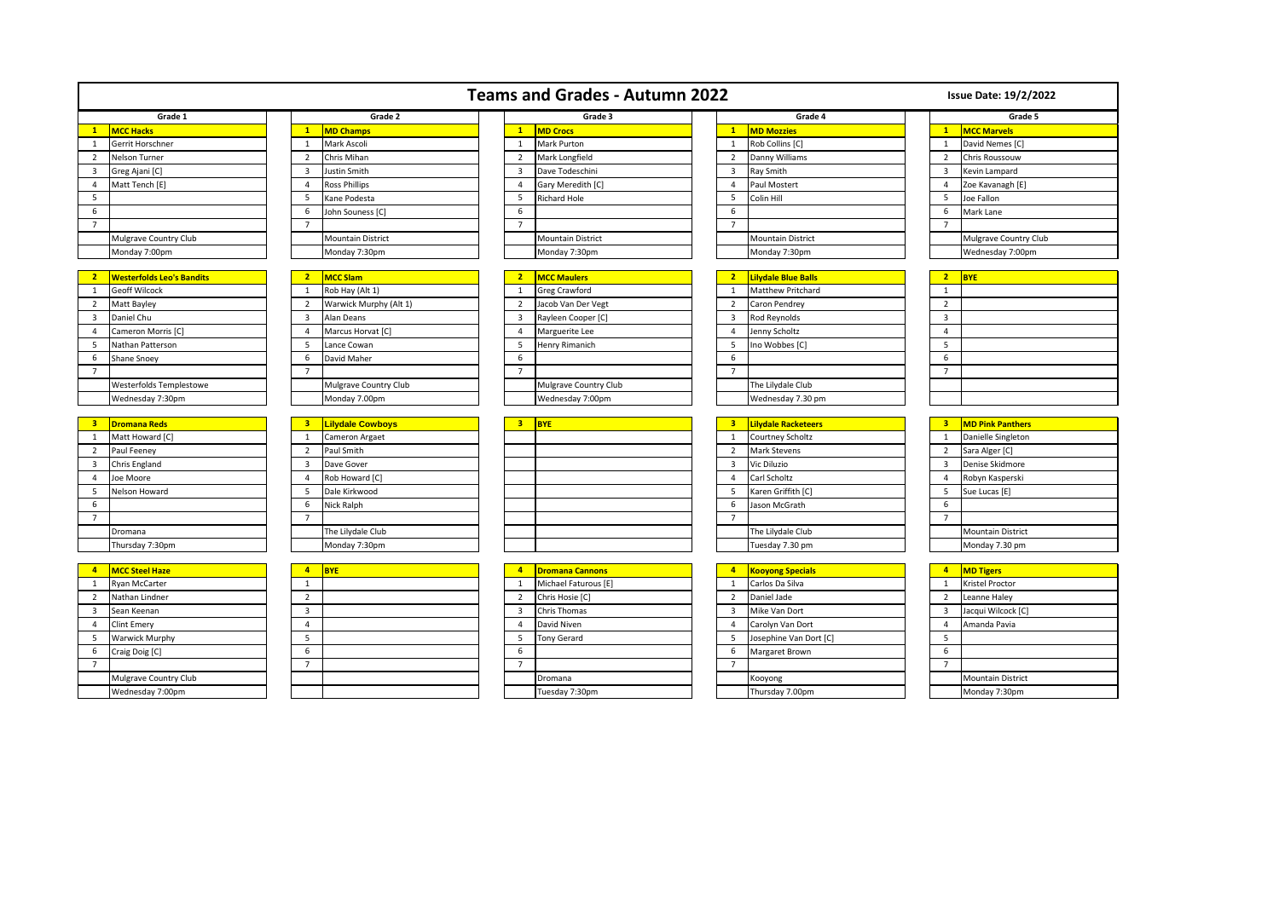|                         |                                  |                         |                          |                         | <b>Teams and Grades - Autumn 2022</b> |  |                         |                            |  |                         | <b>Issue Date: 19/2/2022</b> |  |  |
|-------------------------|----------------------------------|-------------------------|--------------------------|-------------------------|---------------------------------------|--|-------------------------|----------------------------|--|-------------------------|------------------------------|--|--|
| Grade 1                 |                                  | Grade 2                 |                          |                         | Grade 3                               |  | Grade 4                 |                            |  | Grade 5                 |                              |  |  |
| $\mathbf{1}$            | <b>MCC Hacks</b>                 | $\mathbf{1}$            | <b>MD Champs</b>         | $\overline{1}$          | <b>MD Crocs</b>                       |  | 1                       | <b>MD Mozzies</b>          |  | $\mathbf{1}$            | <b>MCC Marvels</b>           |  |  |
| 1                       | Gerrit Horschner                 | $\mathbf{1}$            | Mark Ascoli              | 1                       | Mark Purton                           |  | $\mathbf{1}$            | Rob Collins [C]            |  | $\mathbf{1}$            | David Nemes [C]              |  |  |
| 2                       | Nelson Turner                    | $\overline{2}$          | Chris Mihan              | $\overline{2}$          | Mark Longfield                        |  | $\overline{2}$          | Danny Williams             |  | 2                       | Chris Roussouw               |  |  |
| 3                       | Greg Ajani [C]                   | $\overline{\mathbf{3}}$ | Justin Smith             | $\overline{3}$          | Dave Todeschini                       |  | 3                       | Ray Smith                  |  | $\overline{\mathbf{3}}$ | Kevin Lampard                |  |  |
| $\overline{4}$          | Matt Tench [E]                   | $\overline{4}$          | <b>Ross Phillips</b>     | $\overline{4}$          | Gary Meredith [C]                     |  | $\overline{4}$          | Paul Mostert               |  | $\overline{4}$          | Zoe Kavanagh [E]             |  |  |
| 5                       |                                  | 5                       | Kane Podesta             | 5                       | <b>Richard Hole</b>                   |  | 5                       | Colin Hill                 |  | 5                       | Joe Fallon                   |  |  |
| 6                       |                                  | 6                       | John Souness [C]         | 6                       |                                       |  | 6                       |                            |  | 6                       | Mark Lane                    |  |  |
| $\overline{7}$          |                                  | $\overline{7}$          |                          | $\overline{7}$          |                                       |  | $\overline{7}$          |                            |  | $\overline{7}$          |                              |  |  |
|                         | Mulgrave Country Club            |                         | <b>Mountain District</b> |                         | <b>Mountain District</b>              |  |                         | <b>Mountain District</b>   |  |                         | Mulgrave Country Club        |  |  |
|                         | Monday 7:00pm                    |                         | Monday 7:30pm            |                         | Monday 7:30pm                         |  |                         | Monday 7:30pm              |  |                         | Wednesday 7:00pm             |  |  |
|                         |                                  |                         |                          |                         |                                       |  |                         |                            |  |                         |                              |  |  |
| $\overline{2}$          | <b>Westerfolds Leo's Bandits</b> | $\overline{2}$          | <b>MCC Slam</b>          | $\overline{2}$          | <b>MCC Maulers</b>                    |  | 2 <sup>1</sup>          | <b>Lilydale Blue Balls</b> |  | 2 <sup>7</sup>          | <b>BYE</b>                   |  |  |
| <sup>1</sup>            | <b>Geoff Wilcock</b>             | $\mathbf{1}$            | Rob Hay (Alt 1)          | $\overline{1}$          | <b>Greg Crawford</b>                  |  | 1                       | Matthew Pritchard          |  | $\mathbf{1}$            |                              |  |  |
| $\overline{2}$          | Matt Bayley                      | $\overline{2}$          | Warwick Murphy (Alt 1)   | $\overline{2}$          | Jacob Van Der Vegt                    |  | $\overline{2}$          | Caron Pendrey              |  | $\overline{2}$          |                              |  |  |
| 3                       | Daniel Chu                       | $\overline{\mathbf{3}}$ | Alan Deans               | $\overline{3}$          | Rayleen Cooper [C]                    |  | 3                       | Rod Reynolds               |  | $\overline{3}$          |                              |  |  |
| 4                       | Cameron Morris [C]               | $\overline{4}$          | Marcus Horvat [C]        | $\overline{4}$          | Marguerite Lee                        |  | $\overline{4}$          | Jenny Scholtz              |  | $\overline{4}$          |                              |  |  |
| - 5                     | Nathan Patterson                 | 5                       | Lance Cowan              | - 5                     | Henry Rimanich                        |  | 5                       | Ino Wobbes [C]             |  | 5                       |                              |  |  |
| 6                       | Shane Snoey                      | 6                       | David Maher              | 6                       |                                       |  | 6                       |                            |  | 6                       |                              |  |  |
| $\overline{7}$          |                                  | $\overline{7}$          |                          | $\overline{7}$          |                                       |  | $\overline{7}$          |                            |  | $\overline{7}$          |                              |  |  |
|                         | Westerfolds Templestowe          |                         | Mulgrave Country Club    |                         | Mulgrave Country Club                 |  |                         | The Lilydale Club          |  |                         |                              |  |  |
|                         | Wednesday 7:30pm                 |                         | Monday 7.00pm            |                         | Wednesday 7:00pm                      |  |                         | Wednesday 7.30 pm          |  |                         |                              |  |  |
|                         |                                  |                         |                          |                         |                                       |  |                         |                            |  |                         |                              |  |  |
| $\overline{\mathbf{3}}$ | <b>Dromana Reds</b>              | $\overline{\mathbf{3}}$ | <b>Lilydale Cowboys</b>  | $\overline{\mathbf{3}}$ | <b>BYE</b>                            |  | $\overline{\mathbf{3}}$ | <b>Lilydale Racketeers</b> |  | $\overline{\mathbf{3}}$ | <b>MD Pink Panthers</b>      |  |  |
| 1                       | Matt Howard [C]                  | 1                       | Cameron Argaet           |                         |                                       |  | 1                       | Courtney Scholtz           |  | $\mathbf{1}$            | Danielle Singleton           |  |  |
| $\overline{2}$          | Paul Feeney                      | $\overline{2}$          | Paul Smith               |                         |                                       |  | $\overline{2}$          | <b>Mark Stevens</b>        |  | $\overline{2}$          | Sara Alger [C]               |  |  |
| $\overline{\mathbf{3}}$ | Chris England                    | $\overline{\mathbf{3}}$ | Dave Gover               |                         |                                       |  | $\overline{3}$          | Vic Diluzio                |  | $\overline{3}$          | Denise Skidmore              |  |  |
| 4                       | Joe Moore                        | $\overline{4}$          | Rob Howard [C]           |                         |                                       |  | 4                       | Carl Scholtz               |  | $\overline{4}$          | Robyn Kasperski              |  |  |
| -5                      | Nelson Howard                    | 5                       | Dale Kirkwood            |                         |                                       |  | 5                       | Karen Griffith [C]         |  | 5                       | Sue Lucas [E]                |  |  |
| 6                       |                                  | 6                       | Nick Ralph               |                         |                                       |  | 6                       | Jason McGrath              |  | 6                       |                              |  |  |
| $\overline{7}$          |                                  | $\overline{7}$          |                          |                         |                                       |  | $\overline{7}$          |                            |  | $\overline{7}$          |                              |  |  |
|                         | Dromana                          |                         | The Lilydale Club        |                         |                                       |  |                         | The Lilydale Club          |  |                         | <b>Mountain District</b>     |  |  |
|                         | Thursday 7:30pm                  |                         | Monday 7:30pm            |                         |                                       |  |                         | Tuesday 7.30 pm            |  |                         | Monday 7.30 pm               |  |  |
|                         |                                  |                         |                          |                         |                                       |  |                         |                            |  |                         |                              |  |  |
| $\overline{a}$          | <b>MCC Steel Haze</b>            | $\overline{4}$          | <b>BYE</b>               | $\overline{a}$          | <b>Dromana Cannons</b>                |  |                         | 4 Kooyong Specials         |  | $\overline{4}$          | <b>MD Tigers</b>             |  |  |

| 4              | <b>MCC Steel Haze</b> |
|----------------|-----------------------|
| 1              | Ryan McCarter         |
| $\overline{2}$ | Nathan Lindner        |
| 3              | Sean Keenan           |
| 4              | <b>Clint Emery</b>    |
| 5              | Warwick Murphy        |
| 6              | Craig Doig [C]        |
| 7              |                       |
|                | Mulgrave Country Club |
|                | Wednesday 7:00pm      |

| Thursday 7:30pm       | Monday 7:30pm |  |                        |                | Tuesday 7.30 pm         |                | Monday 7.30 pm           |
|-----------------------|---------------|--|------------------------|----------------|-------------------------|----------------|--------------------------|
|                       |               |  |                        |                |                         |                |                          |
| <b>MCC Steel Haze</b> | <b>BYE</b>    |  | <b>Dromana Cannons</b> | $\overline{a}$ | <b>Kooyong Specials</b> | $\overline{a}$ | <b>MD Tigers</b>         |
| Ryan McCarter         |               |  | Michael Faturous [E]   |                | Carlos Da Silva         |                | Kristel Proctor          |
| Nathan Lindner        |               |  | Chris Hosie [C]        |                | Daniel Jade             |                | Leanne Haley             |
| Sean Keenan           |               |  | Chris Thomas           |                | Mike Van Dort           |                | Jacqui Wilcock [C]       |
| <b>Clint Emery</b>    |               |  | David Niven            |                | Carolyn Van Dort        |                | Amanda Pavia             |
| Warwick Murphy        |               |  | <b>Tony Gerard</b>     |                | Josephine Van Dort [C]  |                |                          |
| Craig Doig [C]        |               |  |                        |                | Margaret Brown          |                |                          |
|                       |               |  |                        |                |                         |                |                          |
| Mulgrave Country Club |               |  | Dromana                |                | Kooyong                 |                | <b>Mountain District</b> |
| Wednesday 7:00pm      |               |  | Tuesday 7:30pm         |                | Thursday 7.00pm         |                | Monday 7:30pm            |

## Wednesday 7:00pm | | | | |Tuesday 7:30pm | | |Thursday 7.00pm | | |Monday 7:30pm

| $\overline{a}$ | <b>Dromana Cannons</b> | 4              | <b>Kooyong Specials</b> |
|----------------|------------------------|----------------|-------------------------|
| $\mathbf{1}$   | Michael Faturous [E]   | 1              | Carlos Da Silva         |
| $\overline{2}$ | Chris Hosie [C]        | $\overline{2}$ | Daniel Jade             |
| 3              | Chris Thomas           | 3              | Mike Van Dort           |
| $\overline{4}$ | David Niven            | 4              | Carolyn Van Dort        |
| 5              | <b>Tony Gerard</b>     | 5              | Josephine Van Dort [C]  |
| 6              |                        | 6              | <b>Margaret Brown</b>   |
|                |                        | 7              |                         |
|                | Dromana                |                | Kooyong                 |
|                | Tuesday 7:30pm         |                | Thursday 7.00pm         |

| 4 | <b>MD Tigers</b>         |
|---|--------------------------|
| 1 | Kristel Proctor          |
| 2 | Leanne Haley             |
| 3 | Jacqui Wilcock [C]       |
| 4 | Amanda Pavia             |
| 5 |                          |
| 6 |                          |
|   |                          |
|   | <b>Mountain District</b> |
|   | Monday 7:30pm            |